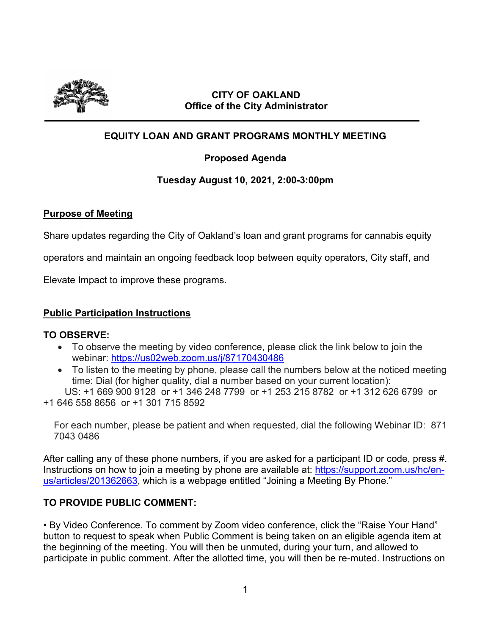

### **CITY OF OAKLAND Office of the City Administrator**

# **EQUITY LOAN AND GRANT PROGRAMS MONTHLY MEETING**

## **Proposed Agenda**

### **Tuesday August 10, 2021, 2:00-3:00pm**

### **Purpose of Meeting**

Share updates regarding the City of Oakland's loan and grant programs for cannabis equity

operators and maintain an ongoing feedback loop between equity operators, City staff, and

Elevate Impact to improve these programs.

### **Public Participation Instructions**

### **TO OBSERVE:**

- To observe the meeting by video conference, please click the link below to join the webinar: https://us02web.zoom.us/j/87170430486
- To listen to the meeting by phone, please call the numbers below at the noticed meeting time: Dial (for higher quality, dial a number based on your current location):

 US: +1 669 900 9128 or +1 346 248 7799 or +1 253 215 8782 or +1 312 626 6799 or +1 646 558 8656 or +1 301 715 8592

For each number, please be patient and when requested, dial the following Webinar ID: 871 7043 0486

After calling any of these phone numbers, if you are asked for a participant ID or code, press #. Instructions on how to join a meeting by phone are available at: [https://support.zoom.us/hc/en](https://support.zoom.us/hc/en-us/articles/201362663)[us/articles/201362663,](https://support.zoom.us/hc/en-us/articles/201362663) which is a webpage entitled "Joining a Meeting By Phone."

### **TO PROVIDE PUBLIC COMMENT:**

• By Video Conference. To comment by Zoom video conference, click the "Raise Your Hand" button to request to speak when Public Comment is being taken on an eligible agenda item at the beginning of the meeting. You will then be unmuted, during your turn, and allowed to participate in public comment. After the allotted time, you will then be re-muted. Instructions on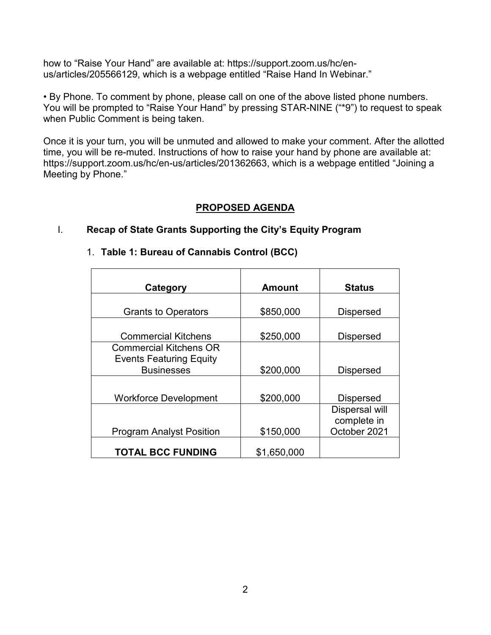how to "Raise Your Hand" are available at: https://support.zoom.us/hc/enus/articles/205566129, which is a webpage entitled "Raise Hand In Webinar."

• By Phone. To comment by phone, please call on one of the above listed phone numbers. You will be prompted to "Raise Your Hand" by pressing STAR-NINE ("\*9") to request to speak when Public Comment is being taken.

Once it is your turn, you will be unmuted and allowed to make your comment. After the allotted time, you will be re-muted. Instructions of how to raise your hand by phone are available at: https://support.zoom.us/hc/en-us/articles/201362663, which is a webpage entitled "Joining a Meeting by Phone."

### **PROPOSED AGENDA**

## I. **Recap of State Grants Supporting the City's Equity Program**

### 1. **Table 1: Bureau of Cannabis Control (BCC)**

| Category                        | <b>Amount</b> | <b>Status</b>         |
|---------------------------------|---------------|-----------------------|
|                                 |               |                       |
| <b>Grants to Operators</b>      | \$850,000     | <b>Dispersed</b>      |
|                                 |               |                       |
| <b>Commercial Kitchens</b>      | \$250,000     | <b>Dispersed</b>      |
| <b>Commercial Kitchens OR</b>   |               |                       |
| <b>Events Featuring Equity</b>  |               |                       |
| <b>Businesses</b>               | \$200,000     | <b>Dispersed</b>      |
|                                 |               |                       |
| <b>Workforce Development</b>    | \$200,000     | <b>Dispersed</b>      |
|                                 |               | <b>Dispersal will</b> |
|                                 |               | complete in           |
| <b>Program Analyst Position</b> | \$150,000     | October 2021          |
| <b>TOTAL BCC FUNDING</b>        | \$1,650,000   |                       |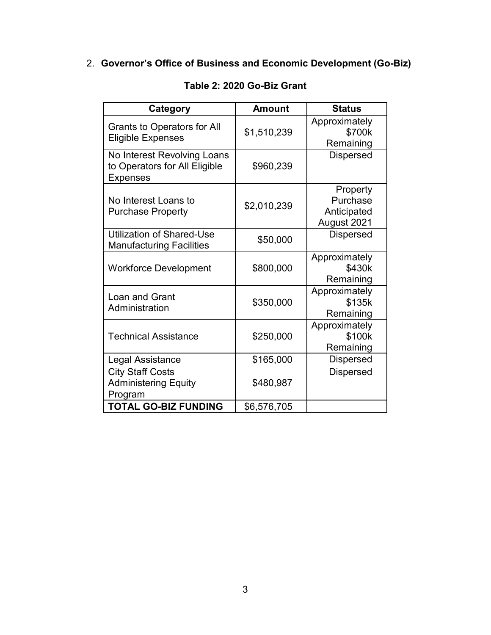# 2. **Governor's Office of Business and Economic Development (Go-Biz)**

| Category                                                                        | <b>Amount</b> | <b>Status</b>                                      |
|---------------------------------------------------------------------------------|---------------|----------------------------------------------------|
| <b>Grants to Operators for All</b><br><b>Eligible Expenses</b>                  | \$1,510,239   | Approximately<br>\$700k<br>Remaining               |
| No Interest Revolving Loans<br>to Operators for All Eligible<br><b>Expenses</b> | \$960,239     | <b>Dispersed</b>                                   |
| No Interest Loans to<br><b>Purchase Property</b>                                | \$2,010,239   | Property<br>Purchase<br>Anticipated<br>August 2021 |
| <b>Utilization of Shared-Use</b><br><b>Manufacturing Facilities</b>             | \$50,000      | <b>Dispersed</b>                                   |
| <b>Workforce Development</b>                                                    | \$800,000     | Approximately<br>\$430k<br>Remaining               |
| <b>Loan and Grant</b><br>Administration                                         | \$350,000     | Approximately<br>\$135k<br>Remaining               |
| <b>Technical Assistance</b>                                                     | \$250,000     | Approximately<br>\$100k<br>Remaining               |
| Legal Assistance                                                                | \$165,000     | <b>Dispersed</b>                                   |
| <b>City Staff Costs</b><br><b>Administering Equity</b><br>Program               | \$480,987     | <b>Dispersed</b>                                   |
| <b>TOTAL GO-BIZ FUNDING</b>                                                     | \$6,576,705   |                                                    |

# **Table 2: 2020 Go-Biz Grant**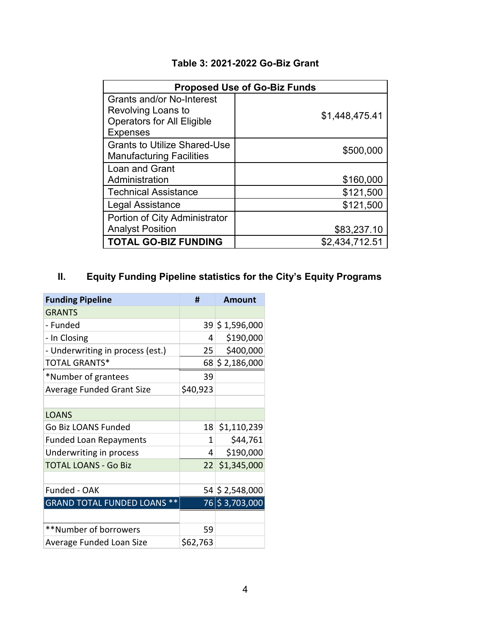# **Table 3: 2021-2022 Go-Biz Grant**

| <b>Proposed Use of Go-Biz Funds</b>                                    |                |  |
|------------------------------------------------------------------------|----------------|--|
| <b>Grants and/or No-Interest</b><br>Revolving Loans to                 |                |  |
| <b>Operators for All Eligible</b><br><b>Expenses</b>                   | \$1,448,475.41 |  |
| <b>Grants to Utilize Shared-Use</b><br><b>Manufacturing Facilities</b> | \$500,000      |  |
| Loan and Grant                                                         |                |  |
| Administration                                                         | \$160,000      |  |
| <b>Technical Assistance</b>                                            | \$121,500      |  |
| Legal Assistance                                                       | \$121,500      |  |
| Portion of City Administrator                                          |                |  |
| <b>Analyst Position</b>                                                | \$83,237.10    |  |
| <b>TOTAL GO-BIZ FUNDING</b>                                            | \$2,434,712.51 |  |

# **II. Equity Funding Pipeline statistics for the City's Equity Programs**

| <b>Funding Pipeline</b>            | #               | <b>Amount</b>   |
|------------------------------------|-----------------|-----------------|
| <b>GRANTS</b>                      |                 |                 |
| - Funded                           |                 | 39 \$1,596,000  |
| - In Closing                       | 4               | \$190,000       |
| - Underwriting in process (est.)   | 25 <sup>2</sup> | \$400,000       |
| <b>TOTAL GRANTS*</b>               |                 | 68 \$ 2,186,000 |
| *Number of grantees                | 39              |                 |
| <b>Average Funded Grant Size</b>   | \$40,923        |                 |
|                                    |                 |                 |
| <b>LOANS</b>                       |                 |                 |
| Go Biz LOANS Funded                | 18              | \$1,110,239     |
| <b>Funded Loan Repayments</b>      | 1               | \$44,761        |
| Underwriting in process            | 4               | \$190,000       |
| <b>TOTAL LOANS - Go Biz</b>        | 22              | \$1,345,000     |
|                                    |                 |                 |
| Funded - OAK                       |                 | 54 \$ 2,548,000 |
| <b>GRAND TOTAL FUNDED LOANS **</b> |                 | 76 \$3,703,000  |
|                                    |                 |                 |
| **Number of borrowers              | 59              |                 |
| Average Funded Loan Size           | \$62,763        |                 |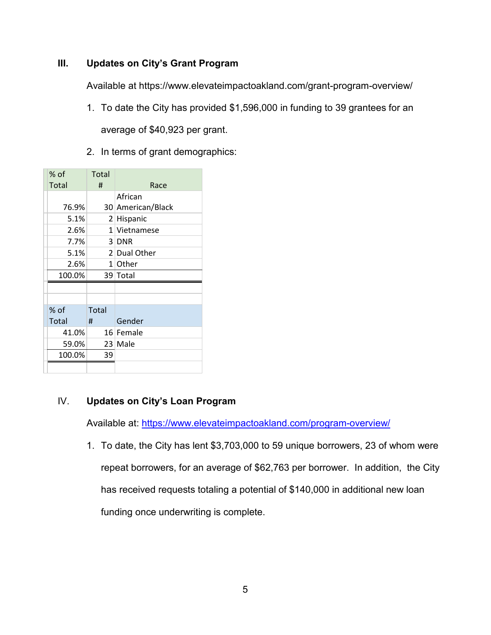### **III. Updates on City's Grant Program**

Available at https://www.elevateimpactoakland.com/grant-program-overview/

- 1. To date the City has provided \$1,596,000 in funding to 39 grantees for an average of \$40,923 per grant.
- 2. In terms of grant demographics:

| % of   | Total          |                   |
|--------|----------------|-------------------|
| Total  | Ħ              | Race              |
|        |                | African           |
| 76.9%  |                | 30 American/Black |
| 5.1%   | 2 <sup>1</sup> | Hispanic          |
| 2.6%   |                | 1 Vietnamese      |
| 7.7%   |                | $3$ DNR           |
| 5.1%   |                | 2 Dual Other      |
| 2.6%   |                | 1 Other           |
| 100.0% |                | 39 Total          |
|        |                |                   |
|        |                |                   |
| $%$ of | Total          |                   |
| Total  | Ħ              | Gender            |
| 41.0%  |                | 16 Female         |
| 59.0%  |                | 23 Male           |
| 100.0% | 39             |                   |
|        |                |                   |

### IV. **Updates on City's Loan Program**

Available at:<https://www.elevateimpactoakland.com/program-overview/>

1. To date, the City has lent \$3,703,000 to 59 unique borrowers, 23 of whom were repeat borrowers, for an average of \$62,763 per borrower. In addition, the City has received requests totaling a potential of \$140,000 in additional new loan funding once underwriting is complete.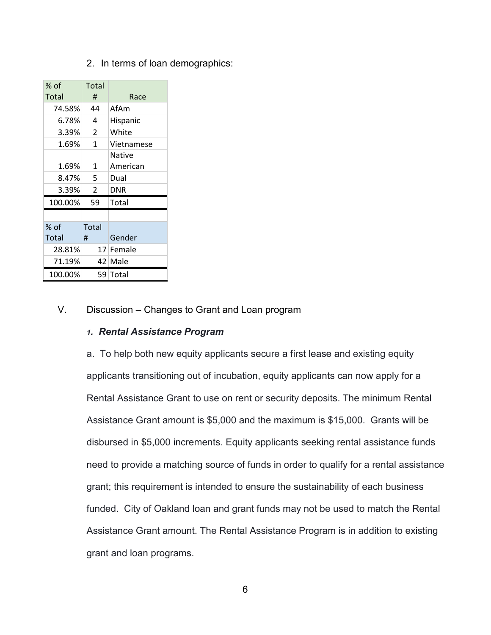2. In terms of loan demographics:

| % of    | Total                    |            |
|---------|--------------------------|------------|
| Total   | #                        | Race       |
| 74.58%  | 44                       | AfAm       |
| 6.78%   | 4                        | Hispanic   |
| 3.39%   | 2                        | White      |
| 1.69%   | 1                        | Vietnamese |
|         |                          | Native     |
| 1.69%   | 1                        | American   |
| 8.47%   | 5                        | Dual       |
| 3.39%   | $\overline{\phantom{a}}$ | DNR        |
| 100.00% | 59                       | Total      |
|         |                          |            |
| % of    | Total                    |            |
| Total   | #                        | Gender     |
| 28.81%  |                          | 17 Female  |
| 71.19%  |                          | 42 Male    |
| 100.00% |                          | 59 Total   |

### V. Discussion – Changes to Grant and Loan program

#### *1. Rental Assistance Program*

a. To help both new equity applicants secure a first lease and existing equity applicants transitioning out of incubation, equity applicants can now apply for a Rental Assistance Grant to use on rent or security deposits. The minimum Rental Assistance Grant amount is \$5,000 and the maximum is \$15,000. Grants will be disbursed in \$5,000 increments. Equity applicants seeking rental assistance funds need to provide a matching source of funds in order to qualify for a rental assistance grant; this requirement is intended to ensure the sustainability of each business funded. City of Oakland loan and grant funds may not be used to match the Rental Assistance Grant amount. The Rental Assistance Program is in addition to existing grant and loan programs.